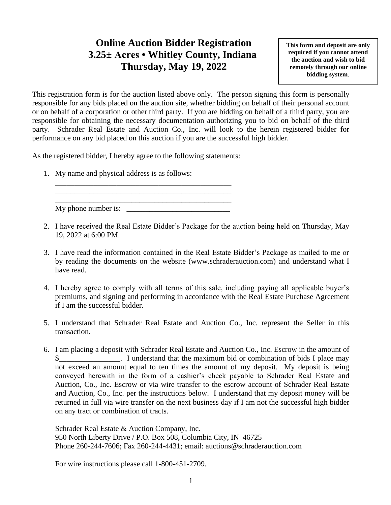## **Online Auction Bidder Registration 3.25± Acres • Whitley County, Indiana Thursday, May 19, 2022**

**This form and deposit are only required if you cannot attend the auction and wish to bid remotely through our online bidding system**.

This registration form is for the auction listed above only. The person signing this form is personally responsible for any bids placed on the auction site, whether bidding on behalf of their personal account or on behalf of a corporation or other third party. If you are bidding on behalf of a third party, you are responsible for obtaining the necessary documentation authorizing you to bid on behalf of the third party. Schrader Real Estate and Auction Co., Inc. will look to the herein registered bidder for performance on any bid placed on this auction if you are the successful high bidder.

As the registered bidder, I hereby agree to the following statements:

1. My name and physical address is as follows:

\_\_\_\_\_\_\_\_\_\_\_\_\_\_\_\_\_\_\_\_\_\_\_\_\_\_\_\_\_\_\_\_\_\_\_\_\_\_\_\_\_\_\_\_\_\_ My phone number is:

\_\_\_\_\_\_\_\_\_\_\_\_\_\_\_\_\_\_\_\_\_\_\_\_\_\_\_\_\_\_\_\_\_\_\_\_\_\_\_\_\_\_\_\_\_\_ \_\_\_\_\_\_\_\_\_\_\_\_\_\_\_\_\_\_\_\_\_\_\_\_\_\_\_\_\_\_\_\_\_\_\_\_\_\_\_\_\_\_\_\_\_\_

- 2. I have received the Real Estate Bidder's Package for the auction being held on Thursday, May 19, 2022 at 6:00 PM.
- 3. I have read the information contained in the Real Estate Bidder's Package as mailed to me or by reading the documents on the website (www.schraderauction.com) and understand what I have read.
- 4. I hereby agree to comply with all terms of this sale, including paying all applicable buyer's premiums, and signing and performing in accordance with the Real Estate Purchase Agreement if I am the successful bidder.
- 5. I understand that Schrader Real Estate and Auction Co., Inc. represent the Seller in this transaction.
- 6. I am placing a deposit with Schrader Real Estate and Auction Co., Inc. Escrow in the amount of I understand that the maximum bid or combination of bids I place may not exceed an amount equal to ten times the amount of my deposit. My deposit is being conveyed herewith in the form of a cashier's check payable to Schrader Real Estate and Auction, Co., Inc. Escrow or via wire transfer to the escrow account of Schrader Real Estate and Auction, Co., Inc. per the instructions below. I understand that my deposit money will be returned in full via wire transfer on the next business day if I am not the successful high bidder on any tract or combination of tracts.

Schrader Real Estate & Auction Company, Inc. 950 North Liberty Drive / P.O. Box 508, Columbia City, IN 46725 Phone 260-244-7606; Fax 260-244-4431; email: auctions@schraderauction.com

For wire instructions please call 1-800-451-2709.